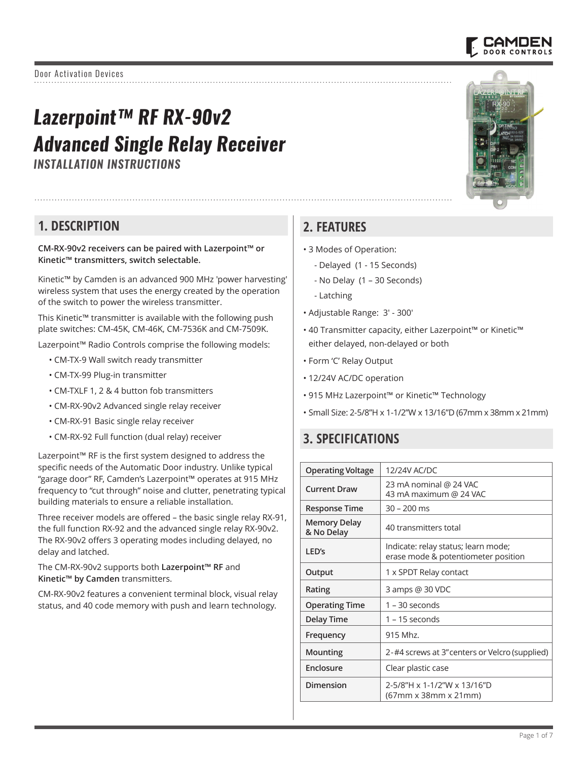# *Lazerpoint™ RF RX-90v2 Advanced Single Relay Receiver*

*INSTALLATION INSTRUCTIONS*

## **1. DESCRIPTION**

**CM-RX-90v2 receivers can be paired with Lazerpoint™ or Kinetic™ transmitters, switch selectable.** 

Kinetic™ by Camden is an advanced 900 MHz 'power harvesting' wireless system that uses the energy created by the operation of the switch to power the wireless transmitter.

This Kinetic™ transmitter is available with the following push plate switches: CM-45K, CM-46K, CM-7536K and CM-7509K.

Lazerpoint™ Radio Controls comprise the following models:

- CM-TX-9 Wall switch ready transmitter
- CM-TX-99 Plug-in transmitter
- CM-TXLF 1, 2 & 4 button fob transmitters
- CM-RX-90v2 Advanced single relay receiver
- CM-RX-91 Basic single relay receiver
- CM-RX-92 Full function (dual relay) receiver

Lazerpoint™ RF is the first system designed to address the specific needs of the Automatic Door industry. Unlike typical "garage door" RF, Camden's Lazerpoint™ operates at 915 MHz frequency to "cut through" noise and clutter, penetrating typical building materials to ensure a reliable installation.

Three receiver models are offered – the basic single relay RX-91, the full function RX-92 and the advanced single relay RX-90v2. The RX-90v2 offers 3 operating modes including delayed, no delay and latched.

The CM-RX-90v2 supports both **Lazerpoint™ RF** and **Kinetic™ by Camden** transmitters.

CM-RX-90v2 features a convenient terminal block, visual relay status, and 40 code memory with push and learn technology.

## **2. FEATURES**

- 3 Modes of Operation:
	- Delayed (1 15 Seconds)
	- No Delay (1 30 Seconds)
	- Latching
- Adjustable Range: 3' 300'
- 40 Transmitter capacity, either Lazerpoint™ or Kinetic™ either delayed, non-delayed or both
- Form 'C' Relay Output
- 12/24V AC/DC operation
- 915 MHz Lazerpoint™ or Kinetic™ Technology
- Small Size: 2-5/8"H x 1-1/2"W x 13/16"D (67mm x 38mm x 21mm)

## **3. SPECIFICATIONS**

| <b>Operating Voltage</b>          | 12/24V AC/DC                                                               |
|-----------------------------------|----------------------------------------------------------------------------|
| <b>Current Draw</b>               | 23 mA nominal @ 24 VAC<br>43 mA maximum @ 24 VAC                           |
| <b>Response Time</b>              | $30 - 200$ ms                                                              |
| <b>Memory Delay</b><br>& No Delay | 40 transmitters total                                                      |
| LED's                             | Indicate: relay status; learn mode;<br>erase mode & potentiometer position |
| Output                            | 1 x SPDT Relay contact                                                     |
| Rating                            | 3 amps @ 30 VDC                                                            |
| <b>Operating Time</b>             | 1 – 30 seconds                                                             |
| <b>Delay Time</b>                 | $1 - 15$ seconds                                                           |
| Frequency                         | 915 Mhz.                                                                   |
| Mounting                          | 2-#4 screws at 3" centers or Velcro (supplied)                             |
| Enclosure                         | Clear plastic case                                                         |
| Dimension                         | 2-5/8"H x 1-1/2"W x 13/16"D<br>(67mm x 38mm x 21mm)                        |



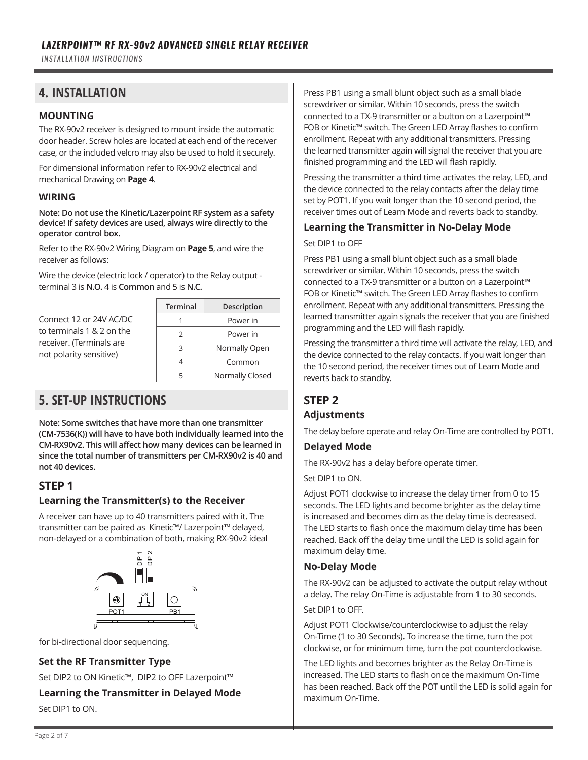*INSTALLATION INSTRUCTIONS*

## **4. INSTALLATION**

#### **MOUNTING**

The RX-90v2 receiver is designed to mount inside the automatic door header. Screw holes are located at each end of the receiver case, or the included velcro may also be used to hold it securely.

For dimensional information refer to RX-90v2 electrical and mechanical Drawing on **Page 4**.

#### **WIRING**

**Note: Do not use the Kinetic/Lazerpoint RF system as a safety device! If safety devices are used, always wire directly to the operator control box.**

Refer to the RX-90v2 Wiring Diagram on **Page 5**, and wire the receiver as follows:

Wire the device (electric lock / operator) to the Relay output terminal 3 is **N.O.** 4 is **Common** and 5 is **N.C.**

Connect 12 or 24V AC/DC to terminals 1 & 2 on the receiver. (Terminals are not polarity sensitive)

| Terminal      | Description     |
|---------------|-----------------|
|               | Power in        |
| $\mathcal{P}$ | Power in        |
| 3             | Normally Open   |
|               | Common          |
|               | Normally Closed |

## **5. SET-UP INSTRUCTIONS**

**Note: Some switches that have more than one transmitter (CM-7536(K)) will have to have both individually learned into the CM-RX90v2. This will affect how many devices can be learned in since the total number of transmitters per CM-RX90v2 is 40 and not 40 devices.**

#### **STEP 1**

#### **Learning the Transmitter(s) to the Receiver**

A receiver can have up to 40 transmitters paired with it. The transmitter can be paired as Kinetic™/ Lazerpoint™ delayed, non-delayed or a combination of both, making RX-90v2 ideal



for bi-directional door sequencing.

#### **Set the RF Transmitter Type**

Set DIP2 to ON Kinetic™, DIP2 to OFF Lazerpoint™

**Learning the Transmitter in Delayed Mode**

Set DIP1 to ON.

Press PB1 using a small blunt object such as a small blade screwdriver or similar. Within 10 seconds, press the switch connected to a TX-9 transmitter or a button on a Lazerpoint™ FOB or Kinetic™ switch. The Green LED Array flashes to confirm enrollment. Repeat with any additional transmitters. Pressing the learned transmitter again will signal the receiver that you are finished programming and the LED will flash rapidly.

Pressing the transmitter a third time activates the relay, LED, and the device connected to the relay contacts after the delay time set by POT1. If you wait longer than the 10 second period, the receiver times out of Learn Mode and reverts back to standby.

#### **Learning the Transmitter in No-Delay Mode**

#### Set DIP1 to OFF

Press PB1 using a small blunt object such as a small blade screwdriver or similar. Within 10 seconds, press the switch connected to a TX-9 transmitter or a button on a Lazerpoint™ FOB or Kinetic™ switch. The Green LED Array flashes to confirm enrollment. Repeat with any additional transmitters. Pressing the learned transmitter again signals the receiver that you are finished programming and the LED will flash rapidly.

Pressing the transmitter a third time will activate the relay, LED, and the device connected to the relay contacts. If you wait longer than the 10 second period, the receiver times out of Learn Mode and reverts back to standby.

## **STEP 2**

#### **Adjustments**

The delay before operate and relay On-Time are controlled by POT1.

#### **Delayed Mode**

The RX-90v2 has a delay before operate timer.

Set DIP1 to ON.

Adjust POT1 clockwise to increase the delay timer from 0 to 15 seconds. The LED lights and become brighter as the delay time is increased and becomes dim as the delay time is decreased. The LED starts to flash once the maximum delay time has been reached. Back off the delay time until the LED is solid again for maximum delay time.

#### **No-Delay Mode**

The RX-90v2 can be adjusted to activate the output relay without a delay. The relay On-Time is adjustable from 1 to 30 seconds.

Set DIP1 to OFF.

Adjust POT1 Clockwise/counterclockwise to adjust the relay On-Time (1 to 30 Seconds). To increase the time, turn the pot clockwise, or for minimum time, turn the pot counterclockwise.

The LED lights and becomes brighter as the Relay On-Time is increased. The LED starts to flash once the maximum On-Time has been reached. Back off the POT until the LED is solid again for maximum On-Time.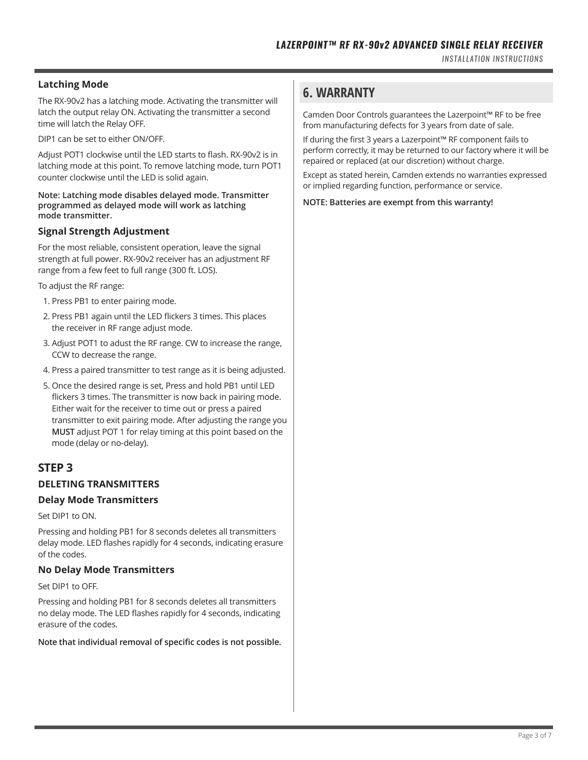#### **Latching Mode**

The RX-90v2 has a latching mode. Activating the transmitter will latch the output relay ON. Activating the transmitter a second time will latch the Relay OFF.

DIP1 can be set to either ON/OFF.

Adjust POT1 clockwise until the LED starts to flash. RX-90v2 is in latching mode at this point. To remove latching mode, turn POT1 counter clockwise until the LED is solid again.

#### **Note: Latching mode disables delayed mode. Transmitter programmed as delayed mode will work as latching mode transmitter.**

#### **Signal Strength Adjustment**

For the most reliable, consistent operation, leave the signal strength at full power. RX-90v2 receiver has an adjustment RF range from a few feet to full range (300 ft. LOS).

To adjust the RF range:

- 1. Press PB1 to enter pairing mode.
- 2. Press PB1 again until the LED flickers 3 times. This places the receiver in RF range adjust mode.
- 3. Adjust POT1 to adust the RF range. CW to increase the range, CCW to decrease the range.
- 4. Press a paired transmitter to test range as it is being adjusted.
- 5. Once the desired range is set, Press and hold PB1 until LED flickers 3 times. The transmitter is now back in pairing mode. Either wait for the receiver to time out or press a paired transmitter to exit pairing mode. After adjusting the range you **MUST** adjust POT 1 for relay timing at this point based on the mode (delay or no-delay).

#### **STEP 3**

#### **DELETING TRANSMITTERS**

#### **Delay Mode Transmitters**

Set DIP1 to ON.

Pressing and holding PB1 for 8 seconds deletes all transmitters delay mode. LED flashes rapidly for 4 seconds, indicating erasure of the codes.

#### **No Delay Mode Transmitters**

Set DIP1 to OFF.

Pressing and holding PB1 for 8 seconds deletes all transmitters no delay mode. The LED flashes rapidly for 4 seconds, indicating erasure of the codes.

**Note that individual removal of specific codes is not possible.**

## **6. WARRANTY**

Camden Door Controls guarantees the Lazerpoint™ RF to be free from manufacturing defects for 3 years from date of sale.

If during the first 3 years a Lazerpoint™ RF component fails to perform correctly, it may be returned to our factory where it will be repaired or replaced (at our discretion) without charge.

Except as stated herein, Camden extends no warranties expressed or implied regarding function, performance or service.

**NOTE: Batteries are exempt from this warranty!**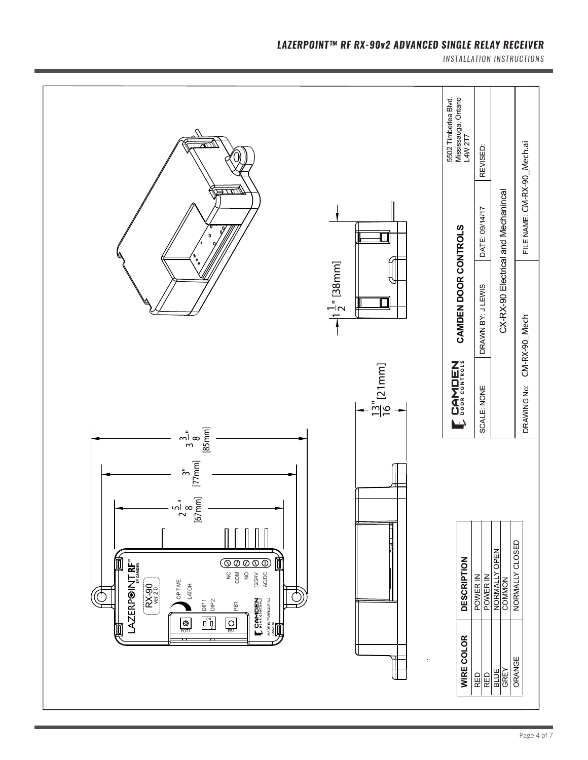

#### LAZERPOINT™ RF RX-90v2 ADVANCED SINGLE RELAY RECEIVER

*INSTALLATION INSTRUCTIONS*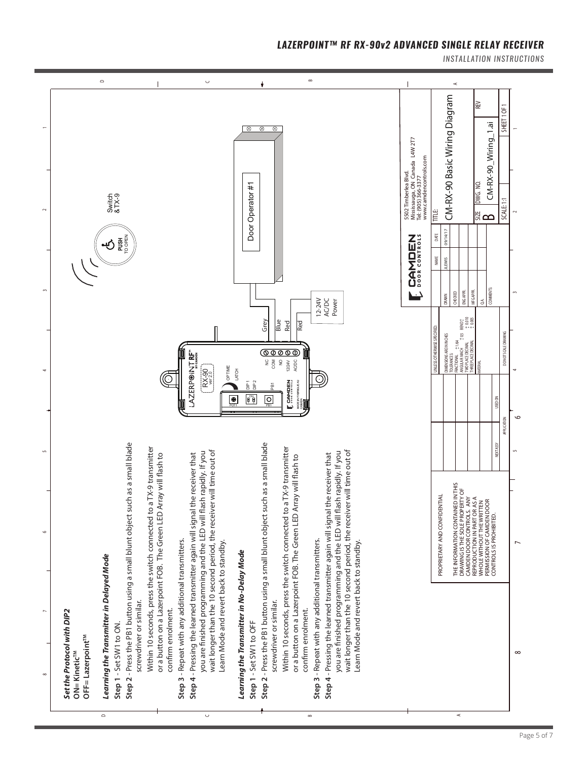#### LAZERPOINT™ RF RX-90v2 ADVANCED SINGLE RELAY RECEIVER

*INSTALLATION INSTRUCTIONS*



B

 $\circ$ 

 $\mathord{\subset}$ 

 $\prec$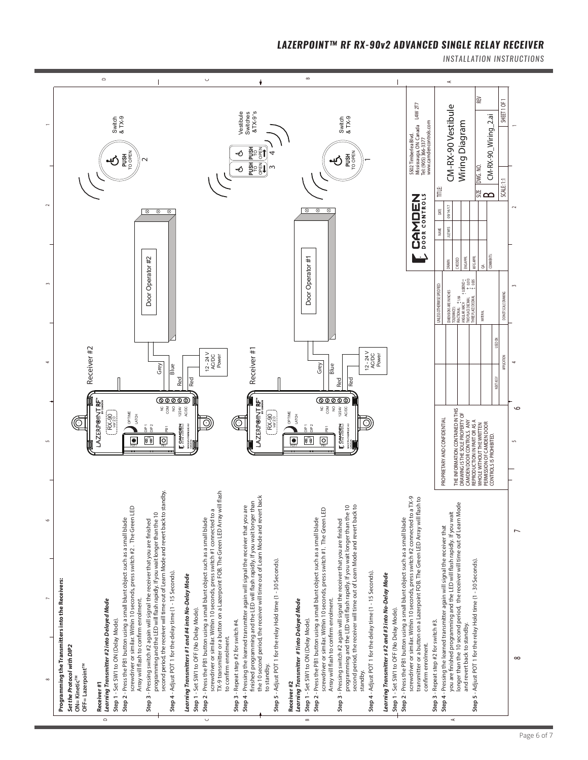

*INSTALLATION INSTRUCTIONS*